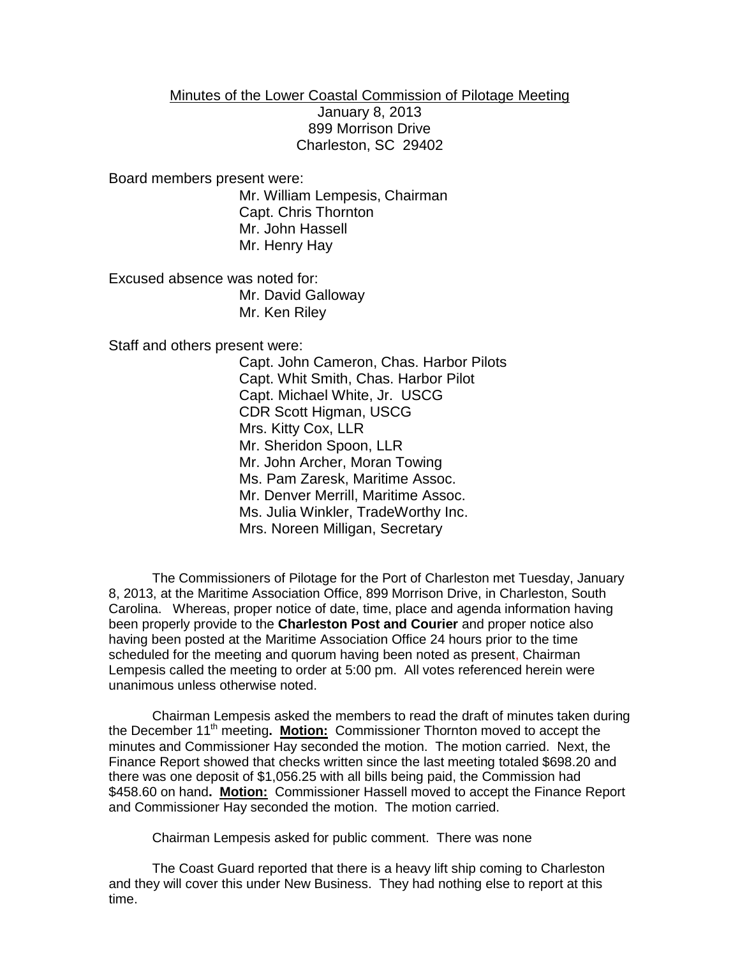## Minutes of the Lower Coastal Commission of Pilotage Meeting

January 8, 2013 899 Morrison Drive Charleston, SC 29402

Board members present were:

Mr. William Lempesis, Chairman Capt. Chris Thornton Mr. John Hassell Mr. Henry Hay

Excused absence was noted for: Mr. David Galloway Mr. Ken Riley

Staff and others present were:

Capt. John Cameron, Chas. Harbor Pilots Capt. Whit Smith, Chas. Harbor Pilot Capt. Michael White, Jr. USCG CDR Scott Higman, USCG Mrs. Kitty Cox, LLR Mr. Sheridon Spoon, LLR Mr. John Archer, Moran Towing Ms. Pam Zaresk, Maritime Assoc. Mr. Denver Merrill, Maritime Assoc. Ms. Julia Winkler, TradeWorthy Inc. Mrs. Noreen Milligan, Secretary

The Commissioners of Pilotage for the Port of Charleston met Tuesday, January 8, 2013, at the Maritime Association Office, 899 Morrison Drive, in Charleston, South Carolina. Whereas, proper notice of date, time, place and agenda information having been properly provide to the **Charleston Post and Courier** and proper notice also having been posted at the Maritime Association Office 24 hours prior to the time scheduled for the meeting and quorum having been noted as present, Chairman Lempesis called the meeting to order at 5:00 pm. All votes referenced herein were unanimous unless otherwise noted.

Chairman Lempesis asked the members to read the draft of minutes taken during the December 11<sup>th</sup> meeting. Motion: Commissioner Thornton moved to accept the minutes and Commissioner Hay seconded the motion. The motion carried. Next, the Finance Report showed that checks written since the last meeting totaled \$698.20 and there was one deposit of \$1,056.25 with all bills being paid, the Commission had \$458.60 on hand**. Motion:** Commissioner Hassell moved to accept the Finance Report and Commissioner Hay seconded the motion. The motion carried.

Chairman Lempesis asked for public comment. There was none

The Coast Guard reported that there is a heavy lift ship coming to Charleston and they will cover this under New Business. They had nothing else to report at this time.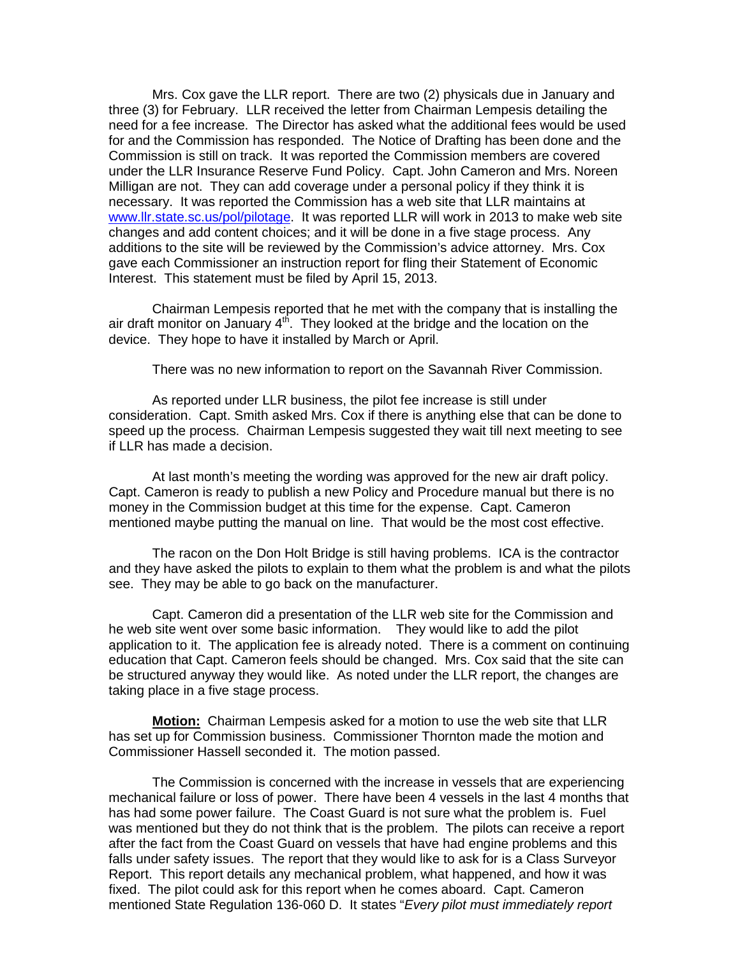Mrs. Cox gave the LLR report. There are two (2) physicals due in January and three (3) for February. LLR received the letter from Chairman Lempesis detailing the need for a fee increase. The Director has asked what the additional fees would be used for and the Commission has responded. The Notice of Drafting has been done and the Commission is still on track. It was reported the Commission members are covered under the LLR Insurance Reserve Fund Policy. Capt. John Cameron and Mrs. Noreen Milligan are not. They can add coverage under a personal policy if they think it is necessary. It was reported the Commission has a web site that LLR maintains at [www.llr.state.sc.us/pol/pilotage.](http://www.llr.state.sc.us/pol/pilotage) It was reported LLR will work in 2013 to make web site changes and add content choices; and it will be done in a five stage process. Any additions to the site will be reviewed by the Commission's advice attorney. Mrs. Cox gave each Commissioner an instruction report for fling their Statement of Economic Interest. This statement must be filed by April 15, 2013.

Chairman Lempesis reported that he met with the company that is installing the air draft monitor on January  $4<sup>th</sup>$ . They looked at the bridge and the location on the device. They hope to have it installed by March or April.

There was no new information to report on the Savannah River Commission.

As reported under LLR business, the pilot fee increase is still under consideration. Capt. Smith asked Mrs. Cox if there is anything else that can be done to speed up the process. Chairman Lempesis suggested they wait till next meeting to see if LLR has made a decision.

At last month's meeting the wording was approved for the new air draft policy. Capt. Cameron is ready to publish a new Policy and Procedure manual but there is no money in the Commission budget at this time for the expense. Capt. Cameron mentioned maybe putting the manual on line. That would be the most cost effective.

The racon on the Don Holt Bridge is still having problems. ICA is the contractor and they have asked the pilots to explain to them what the problem is and what the pilots see. They may be able to go back on the manufacturer.

Capt. Cameron did a presentation of the LLR web site for the Commission and he web site went over some basic information. They would like to add the pilot application to it. The application fee is already noted. There is a comment on continuing education that Capt. Cameron feels should be changed. Mrs. Cox said that the site can be structured anyway they would like. As noted under the LLR report, the changes are taking place in a five stage process.

**Motion:** Chairman Lempesis asked for a motion to use the web site that LLR has set up for Commission business. Commissioner Thornton made the motion and Commissioner Hassell seconded it. The motion passed.

The Commission is concerned with the increase in vessels that are experiencing mechanical failure or loss of power. There have been 4 vessels in the last 4 months that has had some power failure. The Coast Guard is not sure what the problem is. Fuel was mentioned but they do not think that is the problem. The pilots can receive a report after the fact from the Coast Guard on vessels that have had engine problems and this falls under safety issues. The report that they would like to ask for is a Class Surveyor Report. This report details any mechanical problem, what happened, and how it was fixed. The pilot could ask for this report when he comes aboard. Capt. Cameron mentioned State Regulation 136-060 D. It states "*Every pilot must immediately report*